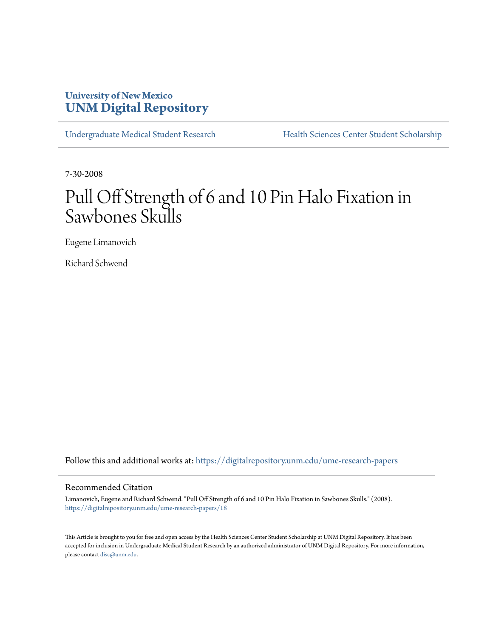### **University of New Mexico [UNM Digital Repository](https://digitalrepository.unm.edu?utm_source=digitalrepository.unm.edu%2Fume-research-papers%2F18&utm_medium=PDF&utm_campaign=PDFCoverPages)**

[Undergraduate Medical Student Research](https://digitalrepository.unm.edu/ume-research-papers?utm_source=digitalrepository.unm.edu%2Fume-research-papers%2F18&utm_medium=PDF&utm_campaign=PDFCoverPages) [Health Sciences Center Student Scholarship](https://digitalrepository.unm.edu/hsc-students?utm_source=digitalrepository.unm.edu%2Fume-research-papers%2F18&utm_medium=PDF&utm_campaign=PDFCoverPages)

7-30-2008

# Pull Off Strength of 6 and 10 Pin Halo Fixation in Sawbones Skulls

Eugene Limanovich

Richard Schwend

Follow this and additional works at: [https://digitalrepository.unm.edu/ume-research-papers](https://digitalrepository.unm.edu/ume-research-papers?utm_source=digitalrepository.unm.edu%2Fume-research-papers%2F18&utm_medium=PDF&utm_campaign=PDFCoverPages)

#### Recommended Citation

Limanovich, Eugene and Richard Schwend. "Pull Off Strength of 6 and 10 Pin Halo Fixation in Sawbones Skulls." (2008). [https://digitalrepository.unm.edu/ume-research-papers/18](https://digitalrepository.unm.edu/ume-research-papers/18?utm_source=digitalrepository.unm.edu%2Fume-research-papers%2F18&utm_medium=PDF&utm_campaign=PDFCoverPages)

This Article is brought to you for free and open access by the Health Sciences Center Student Scholarship at UNM Digital Repository. It has been accepted for inclusion in Undergraduate Medical Student Research by an authorized administrator of UNM Digital Repository. For more information, please contact [disc@unm.edu.](mailto:disc@unm.edu)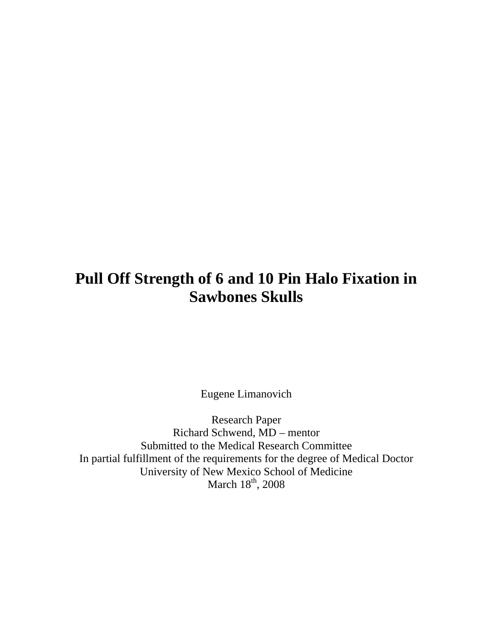## **Pull Off Strength of 6 and 10 Pin Halo Fixation in Sawbones Skulls**

Eugene Limanovich

Research Paper Richard Schwend, MD – mentor Submitted to the Medical Research Committee In partial fulfillment of the requirements for the degree of Medical Doctor University of New Mexico School of Medicine March  $18^{\text{th}}$ , 2008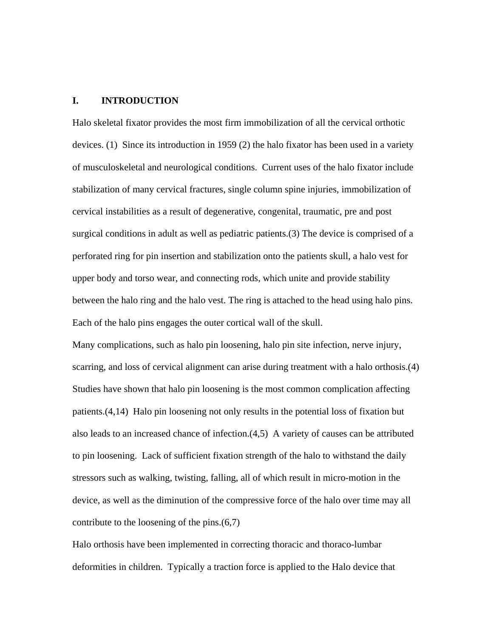#### **I. INTRODUCTION**

Halo skeletal fixator provides the most firm immobilization of all the cervical orthotic devices. (1) Since its introduction in 1959 (2) the halo fixator has been used in a variety of musculoskeletal and neurological conditions. Current uses of the halo fixator include stabilization of many cervical fractures, single column spine injuries, immobilization of cervical instabilities as a result of degenerative, congenital, traumatic, pre and post surgical conditions in adult as well as pediatric patients.(3) The device is comprised of a perforated ring for pin insertion and stabilization onto the patients skull, a halo vest for upper body and torso wear, and connecting rods, which unite and provide stability between the halo ring and the halo vest. The ring is attached to the head using halo pins. Each of the halo pins engages the outer cortical wall of the skull.

Many complications, such as halo pin loosening, halo pin site infection, nerve injury, scarring, and loss of cervical alignment can arise during treatment with a halo orthosis.(4) Studies have shown that halo pin loosening is the most common complication affecting patients.(4,14) Halo pin loosening not only results in the potential loss of fixation but also leads to an increased chance of infection.(4,5) A variety of causes can be attributed to pin loosening. Lack of sufficient fixation strength of the halo to withstand the daily stressors such as walking, twisting, falling, all of which result in micro-motion in the device, as well as the diminution of the compressive force of the halo over time may all contribute to the loosening of the pins.(6,7)

Halo orthosis have been implemented in correcting thoracic and thoraco-lumbar deformities in children. Typically a traction force is applied to the Halo device that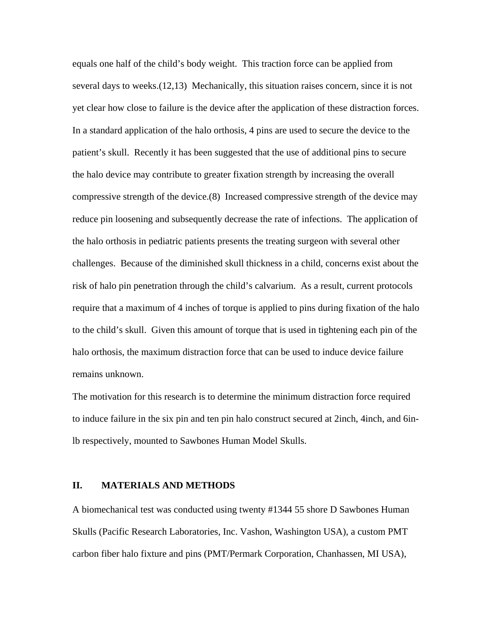equals one half of the child's body weight. This traction force can be applied from several days to weeks.(12,13) Mechanically, this situation raises concern, since it is not yet clear how close to failure is the device after the application of these distraction forces. In a standard application of the halo orthosis, 4 pins are used to secure the device to the patient's skull. Recently it has been suggested that the use of additional pins to secure the halo device may contribute to greater fixation strength by increasing the overall compressive strength of the device.(8) Increased compressive strength of the device may reduce pin loosening and subsequently decrease the rate of infections. The application of the halo orthosis in pediatric patients presents the treating surgeon with several other challenges. Because of the diminished skull thickness in a child, concerns exist about the risk of halo pin penetration through the child's calvarium. As a result, current protocols require that a maximum of 4 inches of torque is applied to pins during fixation of the halo to the child's skull. Given this amount of torque that is used in tightening each pin of the halo orthosis, the maximum distraction force that can be used to induce device failure remains unknown.

The motivation for this research is to determine the minimum distraction force required to induce failure in the six pin and ten pin halo construct secured at 2inch, 4inch, and 6inlb respectively, mounted to Sawbones Human Model Skulls.

#### **II. MATERIALS AND METHODS**

A biomechanical test was conducted using twenty #1344 55 shore D Sawbones Human Skulls (Pacific Research Laboratories, Inc. Vashon, Washington USA), a custom PMT carbon fiber halo fixture and pins (PMT/Permark Corporation, Chanhassen, MI USA),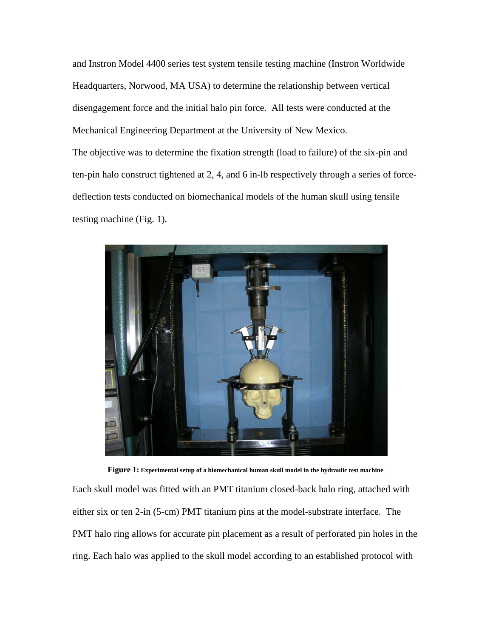and Instron Model 4400 series test system tensile testing machine (Instron Worldwide Headquarters, Norwood, MA USA) to determine the relationship between vertical disengagement force and the initial halo pin force. All tests were conducted at the Mechanical Engineering Department at the University of New Mexico. The objective was to determine the fixation strength (load to failure) of the six-pin and ten-pin halo construct tightened at 2, 4, and 6 in-lb respectively through a series of forcedeflection tests conducted on biomechanical models of the human skull using tensile testing machine (Fig. 1).



**Figure 1: Experimental setup of a biomechanical human skull model in the hydraulic test machine**.

Each skull model was fitted with an PMT titanium closed-back halo ring, attached with either six or ten 2-in (5-cm) PMT titanium pins at the model-substrate interface. The PMT halo ring allows for accurate pin placement as a result of perforated pin holes in the ring. Each halo was applied to the skull model according to an established protocol with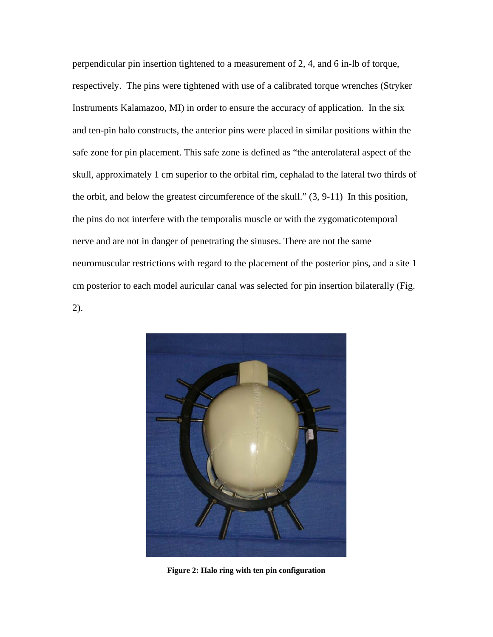perpendicular pin insertion tightened to a measurement of 2, 4, and 6 in-lb of torque, respectively. The pins were tightened with use of a calibrated torque wrenches (Stryker Instruments Kalamazoo, MI) in order to ensure the accuracy of application. In the six and ten-pin halo constructs, the anterior pins were placed in similar positions within the safe zone for pin placement. This safe zone is defined as "the anterolateral aspect of the skull, approximately 1 cm superior to the orbital rim, cephalad to the lateral two thirds of the orbit, and below the greatest circumference of the skull." (3, 9-11) In this position, the pins do not interfere with the temporalis muscle or with the zygomaticotemporal nerve and are not in danger of penetrating the sinuses. There are not the same neuromuscular restrictions with regard to the placement of the posterior pins, and a site 1 cm posterior to each model auricular canal was selected for pin insertion bilaterally (Fig. 2).



**Figure 2: Halo ring with ten pin configuration**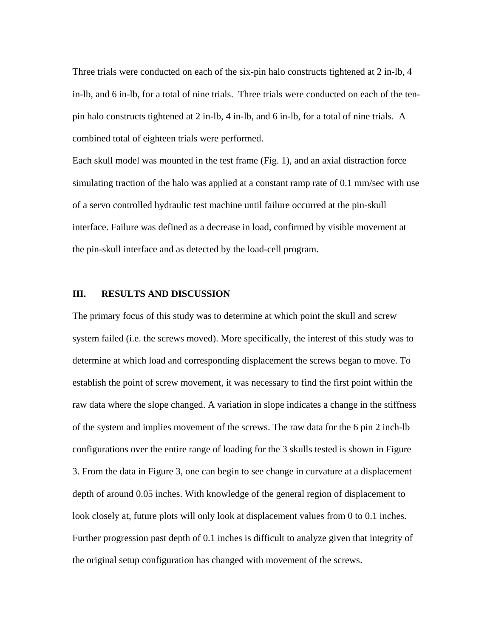Three trials were conducted on each of the six-pin halo constructs tightened at 2 in-lb, 4 in-lb, and 6 in-lb, for a total of nine trials. Three trials were conducted on each of the tenpin halo constructs tightened at 2 in-lb, 4 in-lb, and 6 in-lb, for a total of nine trials. A combined total of eighteen trials were performed.

Each skull model was mounted in the test frame (Fig. 1), and an axial distraction force simulating traction of the halo was applied at a constant ramp rate of 0.1 mm/sec with use of a servo controlled hydraulic test machine until failure occurred at the pin-skull interface. Failure was defined as a decrease in load, confirmed by visible movement at the pin-skull interface and as detected by the load-cell program.

#### **III. RESULTS AND DISCUSSION**

The primary focus of this study was to determine at which point the skull and screw system failed (i.e. the screws moved). More specifically, the interest of this study was to determine at which load and corresponding displacement the screws began to move. To establish the point of screw movement, it was necessary to find the first point within the raw data where the slope changed. A variation in slope indicates a change in the stiffness of the system and implies movement of the screws. The raw data for the 6 pin 2 inch-lb configurations over the entire range of loading for the 3 skulls tested is shown in Figure 3. From the data in Figure 3, one can begin to see change in curvature at a displacement depth of around 0.05 inches. With knowledge of the general region of displacement to look closely at, future plots will only look at displacement values from 0 to 0.1 inches. Further progression past depth of 0.1 inches is difficult to analyze given that integrity of the original setup configuration has changed with movement of the screws.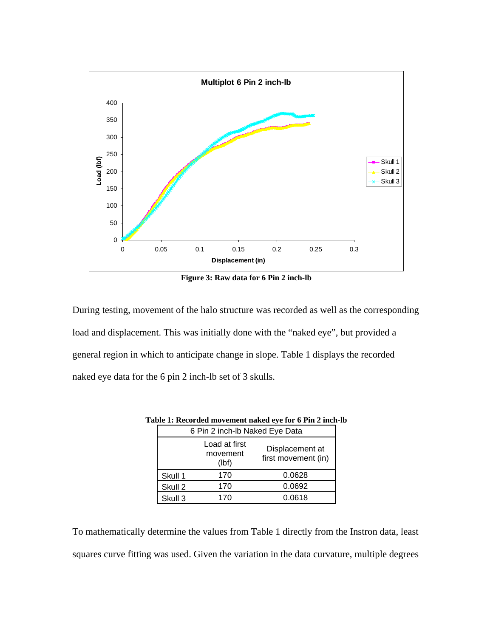

**Figure 3: Raw data for 6 Pin 2 inch-lb** 

<span id="page-7-0"></span>During testing, movement of the halo structure was recorded as well as the corresponding load and displacement. This was initially done with the "naked eye", but provided a general region in which to anticipate change in slope. [Table 1](#page-7-0) displays the recorded naked eye data for the 6 pin 2 inch-lb set of 3 skulls.

| 6 Pin 2 inch-lb Naked Eye Data |                                    |                                        |  |  |  |  |  |
|--------------------------------|------------------------------------|----------------------------------------|--|--|--|--|--|
|                                | Load at first<br>movement<br>(lbf) | Displacement at<br>first movement (in) |  |  |  |  |  |
| Skull 1                        | 170                                | 0.0628                                 |  |  |  |  |  |
| Skull 2                        | 170                                | 0.0692                                 |  |  |  |  |  |
| Skull 3                        | 170                                | 0.0618                                 |  |  |  |  |  |

**Table 1: Recorded movement naked eye for 6 Pin 2 inch-lb** 

To mathematically determine the values from [Table 1](#page-7-0) directly from the Instron data, least squares curve fitting was used. Given the variation in the data curvature, multiple degrees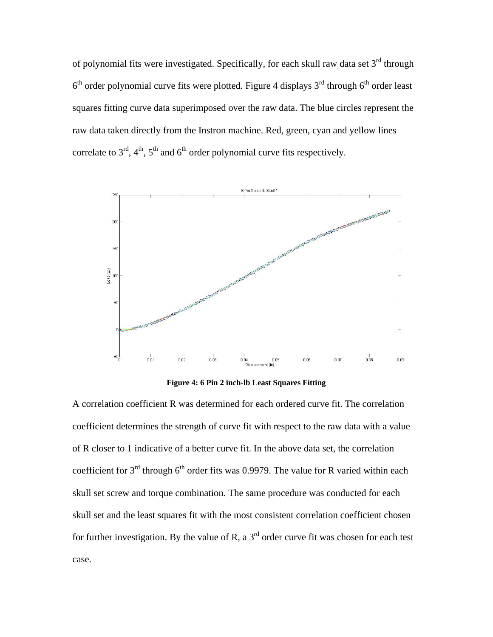of polynomial fits were investigated. Specifically, for each skull raw data set  $3<sup>rd</sup>$  through  $6<sup>th</sup>$  order polynomial curve fits were plotted. Figure 4 displays  $3<sup>rd</sup>$  through  $6<sup>th</sup>$  order least squares fitting curve data superimposed over the raw data. The blue circles represent the raw data taken directly from the Instron machine. Red, green, cyan and yellow lines correlate to  $3<sup>rd</sup>$ ,  $4<sup>th</sup>$ ,  $5<sup>th</sup>$  and  $6<sup>th</sup>$  order polynomial curve fits respectively.



**Figure 4: 6 Pin 2 inch-lb Least Squares Fitting** 

A correlation coefficient R was determined for each ordered curve fit. The correlation coefficient determines the strength of curve fit with respect to the raw data with a value of R closer to 1 indicative of a better curve fit. In the above data set, the correlation coefficient for  $3<sup>rd</sup>$  through 6<sup>th</sup> order fits was 0.9979. The value for R varied within each skull set screw and torque combination. The same procedure was conducted for each skull set and the least squares fit with the most consistent correlation coefficient chosen for further investigation. By the value of R, a  $3<sup>rd</sup>$  order curve fit was chosen for each test case.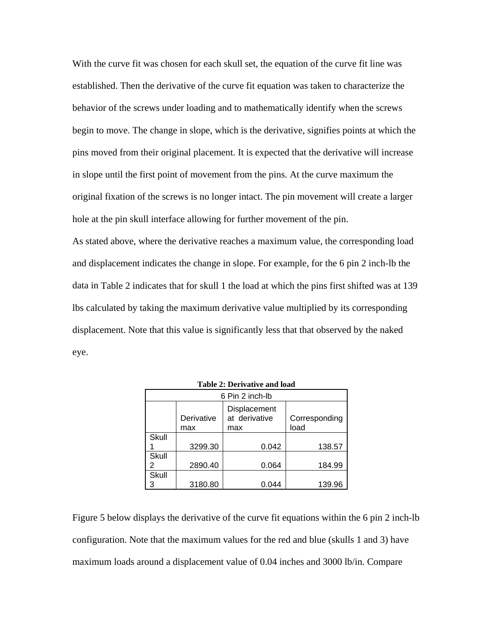With the curve fit was chosen for each skull set, the equation of the curve fit line was established. Then the derivative of the curve fit equation was taken to characterize the behavior of the screws under loading and to mathematically identify when the screws begin to move. The change in slope, which is the derivative, signifies points at which the pins moved from their original placement. It is expected that the derivative will increase in slope until the first point of movement from the pins. At the curve maximum the original fixation of the screws is no longer intact. The pin movement will create a larger hole at the pin skull interface allowing for further movement of the pin. As stated above, where the derivative reaches a maximum value, the corresponding load and displacement indicates the change in slope. For example, for the 6 pin 2 inch-lb the data in [Table 2](#page-9-0) indicates that for skull 1 the load at which the pins first shifted was at 139 lbs calculated by taking the maximum derivative value multiplied by its corresponding displacement. Note that this value is significantly less that that observed by the naked eye.

<span id="page-9-0"></span>

| 6 Pin 2 inch-lb |                   |                                      |                       |  |  |  |  |  |  |
|-----------------|-------------------|--------------------------------------|-----------------------|--|--|--|--|--|--|
|                 | Derivative<br>max | Displacement<br>at derivative<br>max | Corresponding<br>load |  |  |  |  |  |  |
| Skull           |                   |                                      |                       |  |  |  |  |  |  |
|                 | 3299.30           | 0.042                                | 138.57                |  |  |  |  |  |  |
| Skull           |                   |                                      |                       |  |  |  |  |  |  |
|                 | 2890.40           | 0.064                                | 184.99                |  |  |  |  |  |  |
| Skull           |                   |                                      |                       |  |  |  |  |  |  |
|                 | 3180.80           | 0.044                                | 139.96                |  |  |  |  |  |  |

**Table 2: Derivative and load** 

Figure 5 below displays the derivative of the curve fit equations within the 6 pin 2 inch-lb configuration. Note that the maximum values for the red and blue (skulls 1 and 3) have maximum loads around a displacement value of 0.04 inches and 3000 lb/in. Compare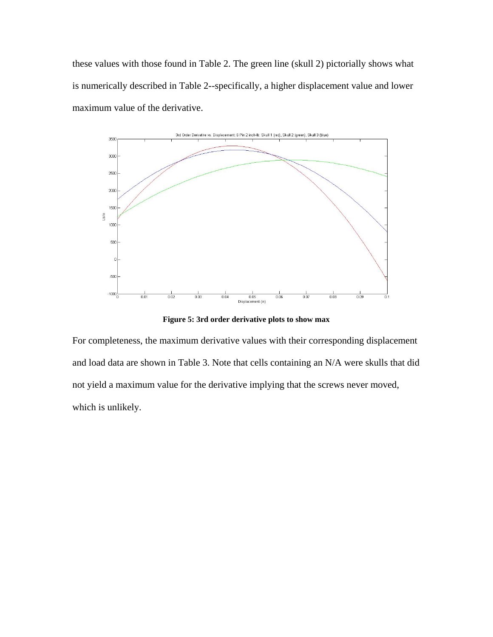these values with those found in [Table 2.](#page-9-0) The green line (skull 2) pictorially shows what is numerically described in [Table 2-](#page-9-0)-specifically, a higher displacement value and lower maximum value of the derivative.



**Figure 5: 3rd order derivative plots to show max** 

For completeness, the maximum derivative values with their corresponding displacement and load data are shown in [Table 3.](#page-11-0) Note that cells containing an N/A were skulls that did not yield a maximum value for the derivative implying that the screws never moved, which is unlikely.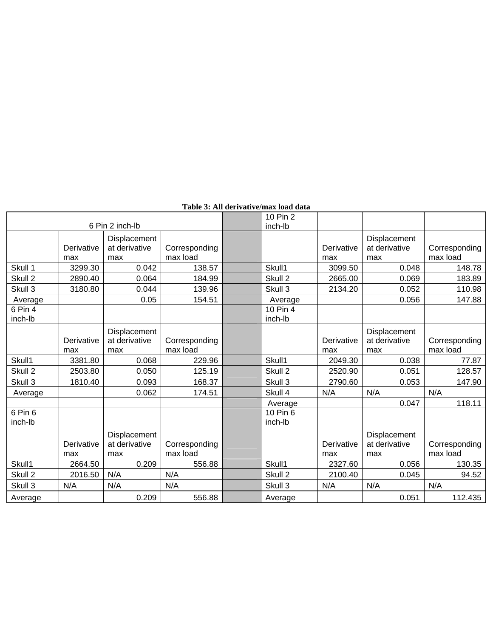<span id="page-11-0"></span>

|                    |                   |                                      |                           | 10 Pin 2            |                   |                                      |                           |
|--------------------|-------------------|--------------------------------------|---------------------------|---------------------|-------------------|--------------------------------------|---------------------------|
| 6 Pin 2 inch-lb    |                   |                                      |                           | inch-lb             |                   |                                      |                           |
|                    | Derivative<br>max | Displacement<br>at derivative<br>max | Corresponding<br>max load |                     | Derivative<br>max | Displacement<br>at derivative<br>max | Corresponding<br>max load |
| Skull 1            | 3299.30           | 0.042                                | 138.57                    | Skull1              | 3099.50           | 0.048                                | 148.78                    |
| Skull 2            | 2890.40           | 0.064                                | 184.99                    | Skull 2             | 2665.00           | 0.069                                | 183.89                    |
| Skull 3            | 3180.80           | 0.044                                | 139.96                    | Skull <sub>3</sub>  | 2134.20           | 0.052                                | 110.98                    |
| Average            |                   | 0.05                                 | 154.51                    | Average             |                   | 0.056                                | 147.88                    |
| 6 Pin 4<br>inch-lb |                   |                                      |                           | 10 Pin 4<br>inch-lb |                   |                                      |                           |
|                    | Derivative<br>max | Displacement<br>at derivative<br>max | Corresponding<br>max load |                     | Derivative<br>max | Displacement<br>at derivative<br>max | Corresponding<br>max load |
| Skull1             | 3381.80           | 0.068                                | 229.96                    | Skull1              | 2049.30           | 0.038                                | 77.87                     |
| Skull 2            | 2503.80           | 0.050                                | 125.19                    | Skull 2             | 2520.90           | 0.051                                | 128.57                    |
| Skull 3            | 1810.40           | 0.093                                | 168.37                    | Skull <sub>3</sub>  | 2790.60           | 0.053                                | 147.90                    |
| Average            |                   | 0.062                                | 174.51                    | Skull 4             | N/A               | N/A                                  | N/A                       |
|                    |                   |                                      |                           | Average             |                   | 0.047                                | 118.11                    |
| 6 Pin 6<br>inch-lb |                   |                                      |                           | 10 Pin 6<br>inch-lb |                   |                                      |                           |
|                    | Derivative<br>max | Displacement<br>at derivative<br>max | Corresponding<br>max load |                     | Derivative<br>max | Displacement<br>at derivative<br>max | Corresponding<br>max load |
| Skull1             | 2664.50           | 0.209                                | 556.88                    | Skull1              | 2327.60           | 0.056                                | 130.35                    |
| Skull 2            | 2016.50           | N/A                                  | N/A                       | Skull <sub>2</sub>  | 2100.40           | 0.045                                | 94.52                     |
| Skull 3            | N/A               | N/A                                  | N/A                       | Skull 3             | N/A               | N/A                                  | N/A                       |
| Average            |                   | 0.209                                | 556.88                    | Average             |                   | 0.051                                | 112.435                   |

#### **Table 3: All derivative/max load data**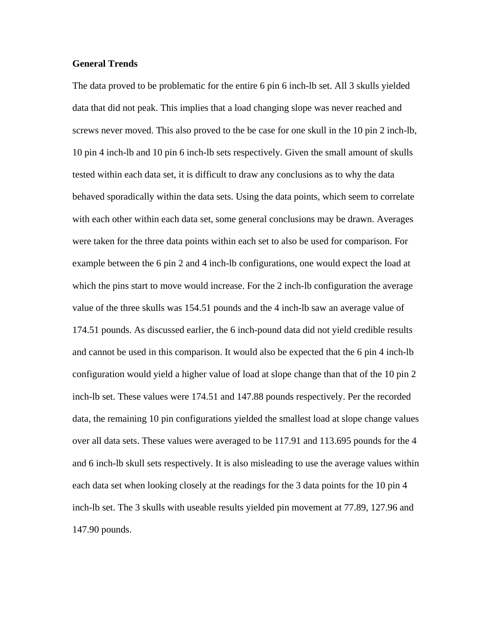#### **General Trends**

The data proved to be problematic for the entire 6 pin 6 inch-lb set. All 3 skulls yielded data that did not peak. This implies that a load changing slope was never reached and screws never moved. This also proved to the be case for one skull in the 10 pin 2 inch-lb, 10 pin 4 inch-lb and 10 pin 6 inch-lb sets respectively. Given the small amount of skulls tested within each data set, it is difficult to draw any conclusions as to why the data behaved sporadically within the data sets. Using the data points, which seem to correlate with each other within each data set, some general conclusions may be drawn. Averages were taken for the three data points within each set to also be used for comparison. For example between the 6 pin 2 and 4 inch-lb configurations, one would expect the load at which the pins start to move would increase. For the 2 inch-lb configuration the average value of the three skulls was 154.51 pounds and the 4 inch-lb saw an average value of 174.51 pounds. As discussed earlier, the 6 inch-pound data did not yield credible results and cannot be used in this comparison. It would also be expected that the 6 pin 4 inch-lb configuration would yield a higher value of load at slope change than that of the 10 pin 2 inch-lb set. These values were 174.51 and 147.88 pounds respectively. Per the recorded data, the remaining 10 pin configurations yielded the smallest load at slope change values over all data sets. These values were averaged to be 117.91 and 113.695 pounds for the 4 and 6 inch-lb skull sets respectively. It is also misleading to use the average values within each data set when looking closely at the readings for the 3 data points for the 10 pin 4 inch-lb set. The 3 skulls with useable results yielded pin movement at 77.89, 127.96 and 147.90 pounds.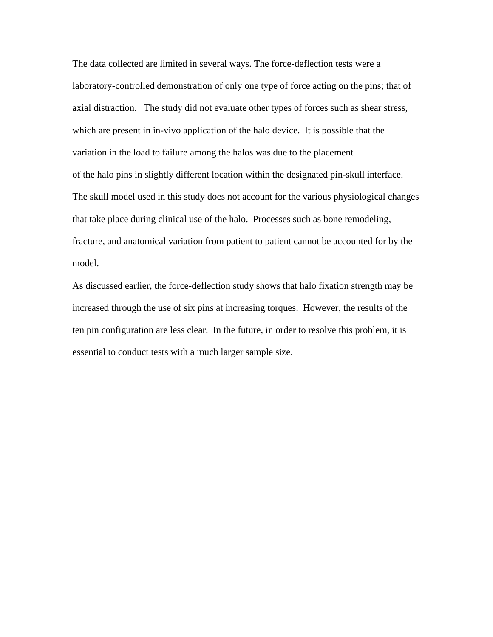The data collected are limited in several ways. The force-deflection tests were a laboratory-controlled demonstration of only one type of force acting on the pins; that of axial distraction. The study did not evaluate other types of forces such as shear stress, which are present in in-vivo application of the halo device. It is possible that the variation in the load to failure among the halos was due to the placement of the halo pins in slightly different location within the designated pin-skull interface. The skull model used in this study does not account for the various physiological changes that take place during clinical use of the halo. Processes such as bone remodeling, fracture, and anatomical variation from patient to patient cannot be accounted for by the model.

As discussed earlier, the force-deflection study shows that halo fixation strength may be increased through the use of six pins at increasing torques. However, the results of the ten pin configuration are less clear. In the future, in order to resolve this problem, it is essential to conduct tests with a much larger sample size.